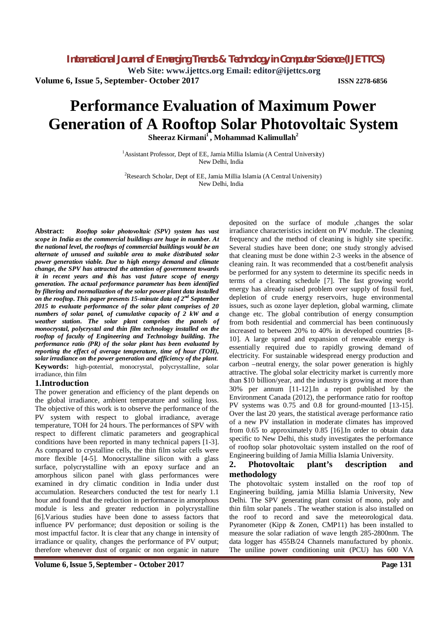**Web Site: www.ijettcs.org Email: editor@ijettcs.org**

**Volume 6, Issue 5, September- October 2017 ISSN 2278-6856**

# **Performance Evaluation of Maximum Power Generation of A Rooftop Solar Photovoltaic System**

**Sheeraz Kirmani<sup>1</sup>, Mohammad Kalimullah<sup>2</sup>**

<sup>1</sup> Assistant Professor, Dept of EE, Jamia Millia Islamia (A Central University) New Delhi, India

<sup>2</sup>Research Scholar, Dept of EE, Jamia Millia Islamia (A Central University) New Delhi, India

**Abstract:** *Rooftop solar photovoltaic (SPV) system has vast scope in India as the commercial buildings are huge in number. At the national level, the rooftops of commercial buildings would be an alternate of unused and suitable area to make distributed solar power generation viable. Due to high energy demand and climate change, the SPV has attracted the attention of government towards it in recent years and this has vast future scope of energy generation. The actual performance parameter has been identified by filtering and normalization of the solar power plant data installed on the rooftop. This paper presents 15-minute data of 2nd September 2015 to evaluate performance of the solar plant comprises of 20 numbers of solar panel, of cumulative capacity of 2 kW and a weather station. The solar plant comprises the panels of monocrystal, polycrystal and thin film technology installed on the rooftop of faculty of Engineering and Technology building. The performance ratio (PR) of the solar plant has been evaluated by reporting the effect of average temperature, time of hour (TOH), solar irradiance on the power generation and efficiency of the plant*. **Keywords:** high-potential, monocrystal, polycrystalline, solar irradiance, thin film

## **1.Introduction**

The power generation and efficiency of the plant depends on the global irradiance, ambient temperature and soiling loss. The objective of this work is to observe the performance of the PV system with respect to global irradiance, average temperature, TOH for 24 hours. The performances of SPV with respect to different climatic parameters and geographical conditions have been reported in many technical papers [1-3]. As compared to crystalline cells, the thin film solar cells were more flexible [4-5]. Monocrystalline silicon with a glass surface, polycrystalline with an epoxy surface and an amorphous silicon panel with glass performances were examined in dry climatic condition in India under dust accumulation. Researchers conducted the test for nearly 1.1 hour and found that the reduction in performance in amorphous module is less and greater reduction in polycrystalline [6].Various studies have been done to assess factors that influence PV performance; dust deposition or soiling is the most impactful factor. It is clear that any change in intensity of irradiance or quality, changes the performance of PV output; therefore whenever dust of organic or non organic in nature deposited on the surface of module ,changes the solar irradiance characteristics incident on PV module. The cleaning frequency and the method of cleaning is highly site specific. Several studies have been done; one study strongly advised that cleaning must be done within 2-3 weeks in the absence of cleaning rain. It was recommended that a cost/benefit analysis be performed for any system to determine its specific needs in terms of a cleaning schedule [7]. The fast growing world energy has already raised problem over supply of fossil fuel, depletion of crude energy reservoirs, huge environmental issues, such as ozone layer depletion, global warming, climate change etc. The global contribution of energy consumption from both residential and commercial has been continuously increased to between 20% to 40% in developed countries [8- 10]. A large spread and expansion of renewable energy is essentially required due to rapidly growing demand of electricity. For sustainable widespread energy production and carbon –neutral energy, the solar power generation is highly attractive. The global solar electricity market is currently more than \$10 billion/year, and the industry is growing at more than 30% per annum [11-12].In a report published by the Environment Canada (2012), the performance ratio for rooftop PV systems was 0.75 and 0.8 for ground-mounted [13-15]. Over the last 20 years, the statistical average performance ratio of a new PV installation in moderate climates has improved from 0.65 to approximately 0.85 [16].In order to obtain data specific to New Delhi, this study investigates the performance of rooftop solar photovoltaic system installed on the roof of Engineering building of Jamia Millia Islamia University.

## **2. Photovoltaic plant's description and methodology**

The photovoltaic system installed on the roof top of Engineering building, jamia Millia Islamia University, New Delhi. The SPV generating plant consist of mono, poly and thin film solar panels . The weather station is also installed on the roof to record and save the meteorological data. Pyranometer (Kipp & Zonen, CMP11) has been installed to measure the solar radiation of wave length 285-2800nm. The data logger has 455B/24 Channels manufactured by phonix. The uniline power conditioning unit (PCU) has 600 VA

**Volume 6, Issue 5, September – October 2017 Page 131**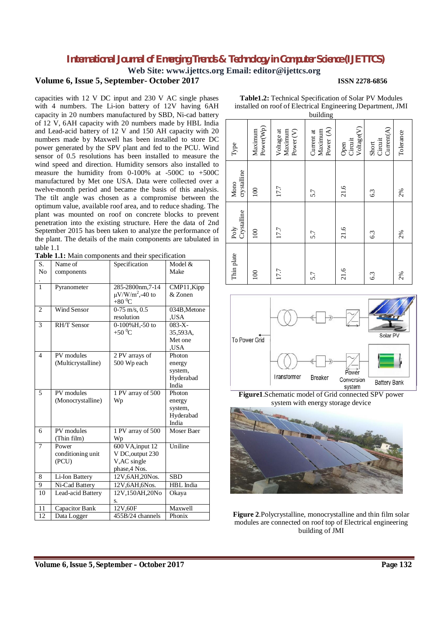**Web Site: www.ijettcs.org Email: editor@ijettcs.org**

## **Volume 6, Issue 5, September- October 2017 ISSN 2278-6856**

capacities with 12 V DC input and 230 V AC single phases with 4 numbers. The Li-ion battery of 12V having 6AH capacity in 20 numbers manufactured by SBD, Ni-cad battery of 12 V, 6AH capacity with 20 numbers made by HBL India and Lead-acid battery of 12 V and 150 AH capacity with 20 numbers made by Maxwell has been installed to store DC power generated by the SPV plant and fed to the PCU. Wind sensor of 0.5 resolutions has been installed to measure the wind speed and direction. Humidity sensors also installed to measure the humidity from 0-100% at -500C to +500C manufactured by Met one USA. Data were collected over a twelve-month period and became the basis of this analysis. The tilt angle was chosen as a compromise between the optimum value, available roof area, and to reduce shading. The plant was mounted on roof on concrete blocks to prevent penetration into the existing structure. Here the data of 2nd September 2015 has been taken to analyze the performance of the plant. The details of the main components are tabulated in table 1.1

**Table 1.1:** Main components and their specification

| S.             | Name of            | Specification                                            | Model &      |
|----------------|--------------------|----------------------------------------------------------|--------------|
| N <sub>o</sub> | components         |                                                          | Make         |
|                |                    |                                                          |              |
| $\mathbf{1}$   | Pyranometer        | 285-2800nm, 7-14                                         | CMP11, Kipp  |
|                |                    | $\mu$ V/W/m <sup>2</sup> ,-40 to<br>+80 $\mathrm{^{0}C}$ | & Zonen      |
| $\overline{2}$ | Wind Sensor        | $0-75$ m/s, $0.5$                                        | 034B, Metone |
|                |                    | resolution                                               | ,USA         |
| 3              | <b>RH/T Sensor</b> | 0-100%H <sub>,-50</sub> to                               | $083-X -$    |
|                |                    | +50 $\mathrm{^{0}C}$                                     | 35,593A,     |
|                |                    |                                                          | Met one      |
|                |                    |                                                          | .USA         |
| $\overline{4}$ | PV modules         | 2 PV arrays of                                           | Photon       |
|                | (Multicrystalline) | 500 Wp each                                              | energy       |
|                |                    |                                                          | system,      |
|                |                    |                                                          | Hyderabad    |
|                |                    |                                                          | India        |
| 5              | PV modules         | 1 PV array of 500                                        | Photon       |
|                | (Monocrystalline)  | Wp                                                       | energy       |
|                |                    |                                                          | system,      |
|                |                    |                                                          | Hyderabad    |
|                |                    |                                                          | India        |
| 6              | PV modules         | 1 PV array of 500                                        | Moser Baer   |
|                | (Thin film)        | Wp                                                       |              |
| $\overline{7}$ | Power              | 600 VA, input 12                                         | Uniline      |
|                | conditioning unit  | V DC, output 230                                         |              |
|                | (PCU)              | V, AC single                                             |              |
|                |                    | phase, 4 Nos.                                            |              |
| 8              | Li-Ion Battery     | 12V,6AH,20Nos.                                           | <b>SBD</b>   |
| 9              | Ni-Cad Battery     | 12V,6AH,6Nos.                                            | HBL India    |
| 10             | Lead-acid Battery  | 12V,150AH,20No                                           | Okaya        |
|                |                    | s.                                                       |              |
| 11             | Capacitor Bank     | 12V,60F                                                  | Maxwell      |
| 12             | Data Logger        | 455B/24 channels                                         | Phonix       |

|                     |                      |                                               | building                           |                                           |                                |           |
|---------------------|----------------------|-----------------------------------------------|------------------------------------|-------------------------------------------|--------------------------------|-----------|
| ${\rm Type}$        | Power(Wp)<br>Maximum | Voltage at<br>Maximum<br>Power <sub>(V)</sub> | Power (A)<br>Maximum<br>Current at | Voltage <sub>(V)</sub><br>Circuit<br>Open | Current(A)<br>Circuit<br>Short | Tolerance |
| crystalline<br>Mono | $\overline{100}$     | 17.7                                          | 5.7                                | 21.6                                      | 6.3                            | 2%        |
| Crystalline<br>Poly | 100                  | 17.7                                          | 5.7                                | 21.6                                      | 63                             | 2%        |
| Thin plate          | 100                  | 17.7                                          | 5.7                                | 21.6                                      | 6.3                            | 2%        |

**Table1.2:** Technical Specification of Solar PV Modules installed on roof of Electrical Engineering Department, JMI



**Figure1**.Schematic model of Grid connected SPV power system with energy storage device



**Figure 2**.Polycrystalline, monocrystalline and thin film solar modules are connected on roof top of Electrical engineering building of JMI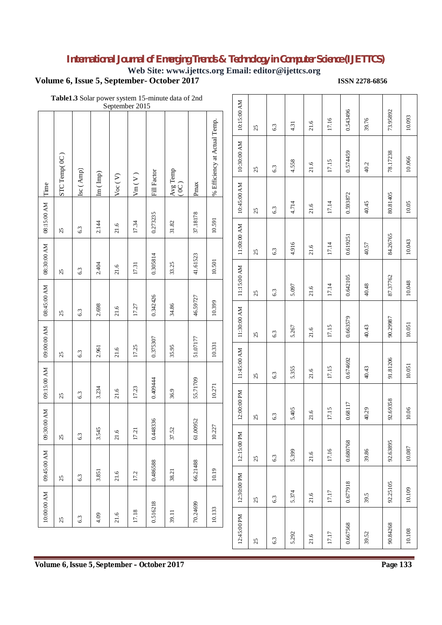**Web Site: www.ijettcs.org Email: editor@ijettcs.org**

## **Volume 6, Issue 5, September- October 2017 <b>ISSN 2278-6856**

|                                                                                                                                                                                                          |                                                                                                                                                      |                                     | Table1.3 Solar power system 15-minute data of 2nd<br>September 2015 |                                                                   |                                              |                             |        |           |           |              |                                                                         |
|----------------------------------------------------------------------------------------------------------------------------------------------------------------------------------------------------------|------------------------------------------------------------------------------------------------------------------------------------------------------|-------------------------------------|---------------------------------------------------------------------|-------------------------------------------------------------------|----------------------------------------------|-----------------------------|--------|-----------|-----------|--------------|-------------------------------------------------------------------------|
| 0.543496<br>17.16<br>39.76<br>21.6<br>4.31<br>63                                                                                                                                                         | 10:15:00 AM<br>25                                                                                                                                    |                                     |                                                                     |                                                                   |                                              |                             |        |           |           |              |                                                                         |
| 0.574459<br>4.558<br>17.15<br>21.6<br>40.2<br>6.3                                                                                                                                                        | 10:30:00 AM<br>25                                                                                                                                    | % Efficiency at Actual Temp.        |                                                                     |                                                                   |                                              |                             |        |           |           | STC Temp(OC) |                                                                         |
|                                                                                                                                                                                                          | 10:45:00 AM                                                                                                                                          |                                     | Pmax                                                                | $\begin{array}{c} \mathsf{Avg\ Temp} \\ ( \, 0 C \,) \end{array}$ | <b>Fill Factor</b>                           | $\text{Vm}\,(\,\text{V}\,)$ | Voc(V) | (m (Imp)) | Isc (Amp) |              | Time                                                                    |
| 0.593872<br>4.714<br>17.14<br>40.45<br>21.6<br>63                                                                                                                                                        | $\mathfrak{L}% _{S}\left( t\right) \equiv\mathfrak{L}_{S}\left( s\right) ,\ \mathfrak{L}_{S}\left( s\right) \equiv\mathfrak{L}_{S}\left( s\right) ,$ |                                     | 37.18178                                                            |                                                                   | 0.273235                                     |                             |        |           |           |              | 08:15:00 AM                                                             |
| 0.619251                                                                                                                                                                                                 | 11:00:00 AM                                                                                                                                          | 10.591                              |                                                                     | $31.82$                                                           |                                              | 17.34                       | 21.6   | 2.144     | 6.3       | 25           |                                                                         |
| 4.916<br>17.14<br>40.57<br>21.6<br>6.3                                                                                                                                                                   | 25                                                                                                                                                   | 10.501                              | 41.61523                                                            |                                                                   | 0.305814                                     | 17.31                       |        |           |           |              | 08:30:00 AM                                                             |
| 0.642105<br>40.48<br>5.097<br>17.14                                                                                                                                                                      | 11:15:00 AM                                                                                                                                          |                                     |                                                                     | 33.25                                                             |                                              |                             | 21.6   | 2.404     | 63        | 25           |                                                                         |
| 21.6<br>6.3                                                                                                                                                                                              | 25                                                                                                                                                   | 10.399                              | 46.59727                                                            | 34.86                                                             | 0.342426                                     | 17.27                       | 21.6   | 2.698     |           |              | 08:45:00 AM                                                             |
|                                                                                                                                                                                                          |                                                                                                                                                      |                                     |                                                                     |                                                                   |                                              |                             |        |           | 6.3       | 25           |                                                                         |
|                                                                                                                                                                                                          |                                                                                                                                                      | 10.331                              | 51.07177                                                            | 35.95                                                             | 0.375307                                     | 17.25                       | 21.6   | 2.961     | 63        | 25           |                                                                         |
| 17.15<br>40.43<br>5.355<br>21.6<br>6.3                                                                                                                                                                   | 25                                                                                                                                                   |                                     |                                                                     |                                                                   |                                              |                             |        |           |           |              |                                                                         |
|                                                                                                                                                                                                          |                                                                                                                                                      |                                     |                                                                     | 36.9                                                              |                                              | 17.23                       | 21.6   | 3.234     | 6.3       | 25           |                                                                         |
| 17.15<br>5.405<br>40.29<br>21.6<br>6.3                                                                                                                                                                   | $\mathbb{S}^2$                                                                                                                                       |                                     |                                                                     |                                                                   |                                              |                             |        |           |           |              |                                                                         |
|                                                                                                                                                                                                          |                                                                                                                                                      |                                     |                                                                     | 37.52                                                             |                                              | 17.21                       | 21.6   | 3.545     | 63        | $25\,$       |                                                                         |
| 5.399<br>$21.6$<br>6.3                                                                                                                                                                                   | 25                                                                                                                                                   |                                     |                                                                     |                                                                   |                                              |                             |        |           |           |              |                                                                         |
|                                                                                                                                                                                                          |                                                                                                                                                      |                                     |                                                                     |                                                                   |                                              | 17.2                        | 21.6   | 3.851     | 6.3       | 25           |                                                                         |
| 21.6<br>39.5<br>6.3                                                                                                                                                                                      | 25                                                                                                                                                   |                                     |                                                                     |                                                                   |                                              |                             |        |           |           |              |                                                                         |
|                                                                                                                                                                                                          |                                                                                                                                                      |                                     |                                                                     |                                                                   |                                              |                             |        |           | 6.3       | 25           |                                                                         |
| 0.663579<br>17.15<br>40.43<br>5.267<br>21.6<br>6.3<br>91.81206<br>0.674692<br>0.68117<br>0.680768<br>17.16<br>39.86<br>0.677918<br>5.374<br>17.17<br>0.667568<br>5.292<br>17.17<br>39.52<br>$21.6$<br>63 | 11:30:00 AM<br>25<br>11:45:00 AM<br>12:00:00 PM<br>12:15:00 PM<br>12:30:00 PM<br>12:45:00 PM<br>25                                                   | 10.271<br>10.227<br>10.19<br>10.133 | 55.71709<br>61.00952<br>66.21488<br>70.24699                        | 38.21<br>39.11                                                    | 0.409444<br>0.448336<br>0.486588<br>0.516218 | 17.18                       | 21.6   | 4.09      |           |              | 09:00:00 AM<br>09:15:00 AM<br>09:30:00 AM<br>09:45:00 AM<br>10:00:00 AM |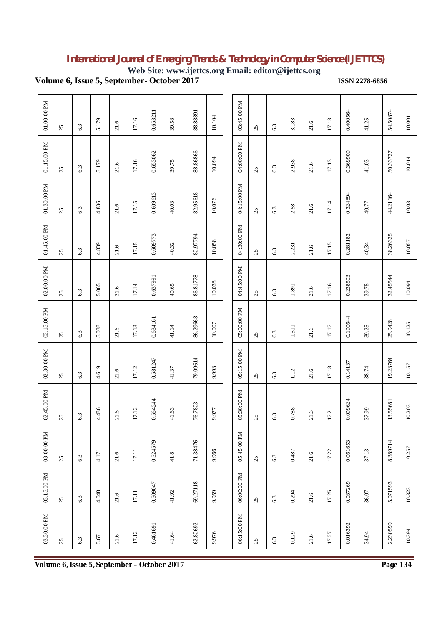**Web Site: www.ijettcs.org Email: editor@ijettcs.org**

**Volume 6, Issue 5, September- October 2017 <b>ISSN 2278-6856** 

| $01:00:00$ PM | 25                                                                                                                                                   | 6.3 | 5.179 | 21.6   | 17.16   | 0.653211 | 39.58                                       | 88.8891  | 10.104 | 03:45:00 PM | 25                                                                                                                                                   | 6.3 | 3.183     | 21.6 | 17.13 | 0.400564 | 41.25   | 54.50874 | 10.001 |
|---------------|------------------------------------------------------------------------------------------------------------------------------------------------------|-----|-------|--------|---------|----------|---------------------------------------------|----------|--------|-------------|------------------------------------------------------------------------------------------------------------------------------------------------------|-----|-----------|------|-------|----------|---------|----------|--------|
| 01:15:00 PM   | 25                                                                                                                                                   | 6.3 | 5.179 | 21.6   | 17.16   | 0.653062 | 39.75                                       | 88.86866 | 10.094 | 04:00:00 PM | 25                                                                                                                                                   | 6.3 | 2.938     | 21.6 | 17.13 | 0.369909 | 41.03   | 50.33727 | 10.014 |
| $01:30:00$ PM | $\mathfrak{L}% _{S}\left( t\right) \equiv\mathfrak{L}_{S}\left( s\right) ,\ \mathfrak{L}_{S}\left( s\right) \equiv\mathfrak{L}_{S}\left( s\right) ,$ | 6.3 | 4.836 | $21.6$ | 17.15   | 0.609613 | 40.03                                       | 82.95618 | 10.076 | 04:15:00 PM | $\mathfrak{L}% _{S}\left( t\right) \equiv\mathfrak{L}_{S}\left( s\right) ,\ \mathfrak{L}_{S}\left( s\right) \equiv\mathfrak{L}_{S}\left( s\right) ,$ | 6.3 | 2.58      | 21.6 | 17.14 | 0.324894 | 40.77   | 44.21164 | 10.03  |
| 01:45:00 PM   | 25                                                                                                                                                   | 6.3 | 4.839 | 21.6   | 17.15   | 0.609773 | 40.32                                       | 82.97794 | 10.058 | 04:30:00 PM | 25                                                                                                                                                   | 6.3 | 2.231     | 21.6 | 17.15 | 0.281182 | 40.34   | 38.26325 | 10.057 |
| 02:00:00 PM   | 25                                                                                                                                                   | 6.3 | 5.065 | $21.6$ | 17.14   | 0.637991 | 40.65                                       | 86.81778 | 10.038 | 04:45:00 PM | 25                                                                                                                                                   | 6.3 | $1.891\,$ | 21.6 | 17.16 | 0.238503 | 39.75   | 32.45544 | 10.094 |
| 02:15:00 PM   | 25                                                                                                                                                   | 6.3 | 5.038 | 21.6   | 17.13   | 0.634161 | 41.14                                       | 86.29668 | 10.007 | 05:00:00 PM | 25                                                                                                                                                   | 6.3 | 1.511     | 21.6 | 17.17 | 0.190644 | 39.25   | 25.9428  | 10.125 |
| 02:30:00 PM   | 25                                                                                                                                                   | 6.3 | 4.619 | 21.6   | 17.12   | 0.581247 | 41.37                                       | 79.09614 | 9.993  | 05:15:00 PM | 25                                                                                                                                                   | 6.3 | $1.12$    | 21.6 | 17.18 | 0.14137  | 38.74   | 19.23764 | 10.157 |
| 02:45:00 PM   | $25\,$                                                                                                                                               | 63  | 4.486 | 21.6   | 17.12   | 0.564244 | 41.63                                       | 76.7823  | 9.977  | 05:30:00 PM | $25$                                                                                                                                                 | 6.3 | 0.788     | 21.6 | 17.2  | 0.099624 | $37.99$ | 13.55681 | 10.203 |
| 03:00:00 PM   | 25                                                                                                                                                   | 6.3 | 4.171 | 21.6   | $17.11$ | 0.524579 | 41.8                                        | 71.38476 | 9.966  | 05:45:00 PM | 25                                                                                                                                                   | 6.3 | 0.487     | 21.6 | 17.22 | 0.061653 | 37.13   | 8.389714 | 10.257 |
| 03:15:00 PM   | 25                                                                                                                                                   | 6.3 | 4.048 | 21.6   | $17.11$ | 0.509047 | 41.92                                       | 69.27118 | 9.959  | 06:00:00 PM | 25                                                                                                                                                   | 6.3 | 0.294     | 21.6 | 17.25 | 0.037269 | 36.07   | 5.071593 | 10.323 |
| 03:30:00 PM   | 25                                                                                                                                                   | 6.3 | 3.67  | 21.6   | 17.12   | 0.461691 | 41.64                                       | 62.82692 | 9.976  | 06:15:00 PM | 25                                                                                                                                                   | 6.3 | 0.129     | 21.6 | 17.27 | 0.016392 | 34.94   | 2.230599 | 10.394 |
|               |                                                                                                                                                      |     |       |        |         |          | Volume 6, Issue 5, September - October 2017 |          |        |             |                                                                                                                                                      |     |           |      |       |          |         | Page 134 |        |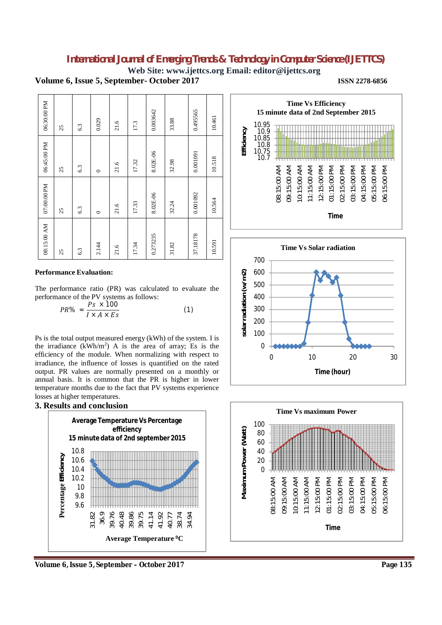**Web Site: www.ijettcs.org Email: editor@ijettcs.org**

**Volume 6, Issue 5, September- October 2017 ISSN 2278-6856**



### **Performance Evaluation:**

The performance ratio (PR) was calculated to evaluate the performance of the PV systems as follows:

$$
PR\% = \frac{Ps \times 100}{I \times A \times Es} \tag{1}
$$

Ps is the total output measured energy (kWh) of the system. I is the irradiance  $(kWh/m^2)$  A is the area of array; Es is the efficiency of the module. When normalizing with respect to irradiance, the influence of losses is quantified on the rated output. PR values are normally presented on a monthly or annual basis. It is common that the PR is higher in lower temperature months due to the fact that PV systems experience losses at higher temperatures.

## **3. Results and conclusion**